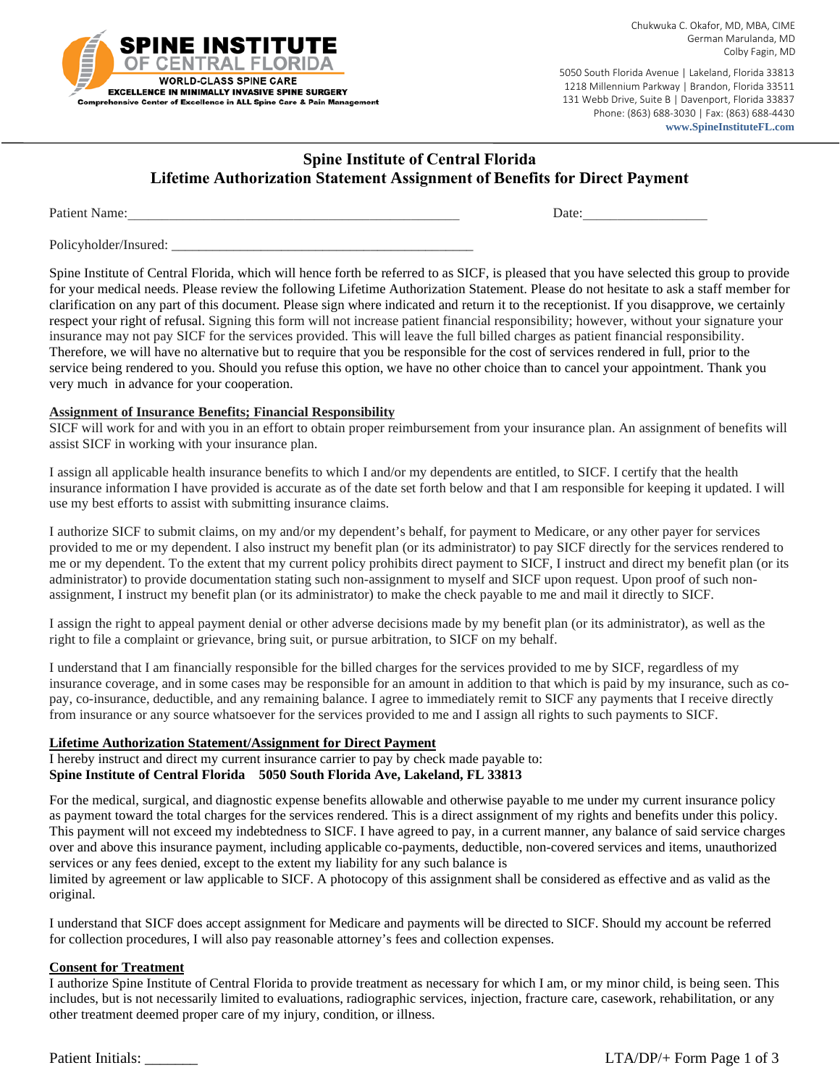

5050 South Florida Avenue | Lakeland, Florida 33813 1218 Millennium Parkway | Brandon, Florida 33511 131 Webb Drive, Suite B | Davenport, Florida 33837 Phone: (863) 688-3030 | Fax: (863) 688-4430 www.SpineInstituteFL.com

# **Spine Institute of Central Florida Lifetime Authorization Statement Assignment of Benefits for Direct Payment**

**Patient Name:** 

Date:

Policyholder/Insured:

Spine Institute of Central Florida, which will hence forth be referred to as SICF, is pleased that you have selected this group to provide for your medical needs. Please review the following Lifetime Authorization Statement. Please do not hesitate to ask a staff member for clarification on any part of this document. Please sign where indicated and return it to the receptionist. If you disapprove, we certainly respect your right of refusal. Signing this form will not increase patient financial responsibility; however, without your signature your insurance may not pay SICF for the services provided. This will leave the full billed charges as patient financial responsibility. Therefore, we will have no alternative but to require that you be responsible for the cost of services rendered in full, prior to the service being rendered to you. Should you refuse this option, we have no other choice than to cancel your appointment. Thank you very much in advance for your cooperation.

#### **Assignment of Insurance Benefits; Financial Responsibility**

SICF will work for and with you in an effort to obtain proper reimbursement from your insurance plan. An assignment of benefits will assist SICF in working with your insurance plan.

I assign all applicable health insurance benefits to which I and/or my dependents are entitled, to SICF. I certify that the health insurance information I have provided is accurate as of the date set forth below and that I am responsible for keeping it updated. I will use my best efforts to assist with submitting insurance claims.

I authorize SICF to submit claims, on my and/or my dependent's behalf, for payment to Medicare, or any other payer for services provided to me or my dependent. I also instruct my benefit plan (or its administrator) to pay SICF directly for the services rendered to me or my dependent. To the extent that my current policy prohibits direct payment to SICF, I instruct and direct my benefit plan (or its administrator) to provide documentation stating such non-assignment to myself and SICF upon request. Upon proof of such nonassignment, I instruct my benefit plan (or its administrator) to make the check payable to me and mail it directly to SICF.

I assign the right to appeal payment denial or other adverse decisions made by my benefit plan (or its administrator), as well as the right to file a complaint or grievance, bring suit, or pursue arbitration, to SICF on my behalf.

I understand that I am financially responsible for the billed charges for the services provided to me by SICF, regardless of my insurance coverage, and in some cases may be responsible for an amount in addition to that which is paid by my insurance, such as copay, co-insurance, deductible, and any remaining balance. I agree to immediately remit to SICF any payments that I receive directly from insurance or any source whatsoever for the services provided to me and I assign all rights to such payments to SICF.

### **Lifetime Authorization Statement/Assignment for Direct Payment**

I hereby instruct and direct my current insurance carrier to pay by check made payable to: Spine Institute of Central Florida 5050 South Florida Ave, Lakeland, FL 33813

For the medical, surgical, and diagnostic expense benefits allowable and otherwise payable to me under my current insurance policy as payment toward the total charges for the services rendered. This is a direct assignment of my rights and benefits under this policy. This payment will not exceed my indebtedness to SICF. I have agreed to pay, in a current manner, any balance of said service charges over and above this insurance payment, including applicable co-payments, deductible, non-covered services and items, unauthorized services or any fees denied, except to the extent my liability for any such balance is limited by agreement or law applicable to SICF. A photocopy of this assignment shall be considered as effective and as valid as the

original.

I understand that SICF does accept assignment for Medicare and payments will be directed to SICF. Should my account be referred for collection procedures, I will also pay reasonable attorney's fees and collection expenses.

#### **Consent for Treatment**

I authorize Spine Institute of Central Florida to provide treatment as necessary for which I am, or my minor child, is being seen. This includes, but is not necessarily limited to evaluations, radiographic services, injection, fracture care, casework, rehabilitation, or any other treatment deemed proper care of my injury, condition, or illness.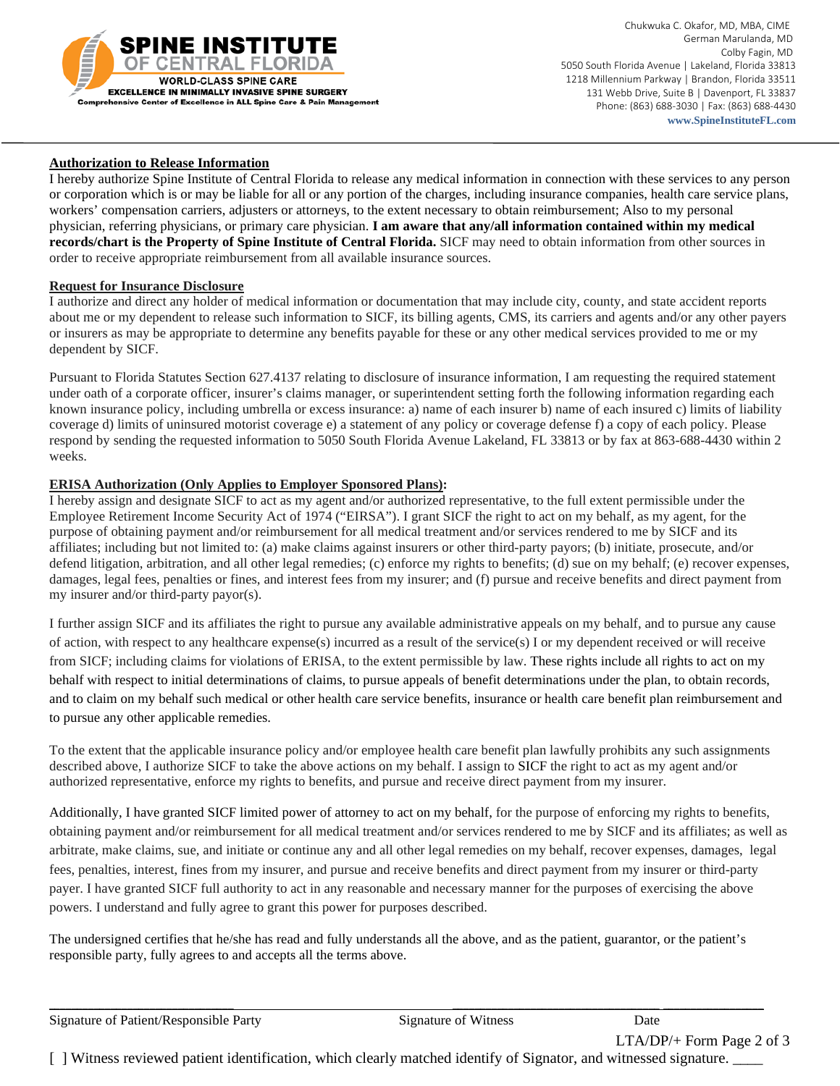

 Chukwuka C. Okafor, MD, MBA, CIME German Marulanda, MD Colby Fagin, MD 5050 South Florida Avenue | Lakeland, Florida 33813 1218 Millennium Parkway | Brandon, Florida 33511 131 Webb Drive, Suite B | Davenport, FL 33837 Phone: (863) 688-3030 | Fax: (863) 688-4430  **www.SpineInstituteFL.com**

#### **Authorization to Release Information**

I hereby authorize Spine Institute of Central Florida to release any medical information in connection with these services to any person or corporation which is or may be liable for all or any portion of the charges, including insurance companies, health care service plans, workers' compensation carriers, adjusters or attorneys, to the extent necessary to obtain reimbursement; Also to my personal physician, referring physicians, or primary care physician. **I am aware that any/all information contained within my medical records/chart is the Property of Spine Institute of Central Florida.** SICF may need to obtain information from other sources in order to receive appropriate reimbursement from all available insurance sources.

#### **Request for Insurance Disclosure**

I authorize and direct any holder of medical information or documentation that may include city, county, and state accident reports about me or my dependent to release such information to SICF, its billing agents, CMS, its carriers and agents and/or any other payers or insurers as may be appropriate to determine any benefits payable for these or any other medical services provided to me or my dependent by SICF.

Pursuant to Florida Statutes Section 627.4137 relating to disclosure of insurance information, I am requesting the required statement under oath of a corporate officer, insurer's claims manager, or superintendent setting forth the following information regarding each known insurance policy, including umbrella or excess insurance: a) name of each insurer b) name of each insured c) limits of liability coverage d) limits of uninsured motorist coverage e) a statement of any policy or coverage defense f) a copy of each policy. Please respond by sending the requested information to 5050 South Florida Avenue Lakeland, FL 33813 or by fax at 863-688-4430 within 2 weeks.

#### **ERISA Authorization (Only Applies to Employer Sponsored Plans):**

I hereby assign and designate SICF to act as my agent and/or authorized representative, to the full extent permissible under the Employee Retirement Income Security Act of 1974 ("EIRSA"). I grant SICF the right to act on my behalf, as my agent, for the purpose of obtaining payment and/or reimbursement for all medical treatment and/or services rendered to me by SICF and its affiliates; including but not limited to: (a) make claims against insurers or other third-party payors; (b) initiate, prosecute, and/or defend litigation, arbitration, and all other legal remedies; (c) enforce my rights to benefits; (d) sue on my behalf; (e) recover expenses, damages, legal fees, penalties or fines, and interest fees from my insurer; and (f) pursue and receive benefits and direct payment from my insurer and/or third-party payor(s).

I further assign SICF and its affiliates the right to pursue any available administrative appeals on my behalf, and to pursue any cause of action, with respect to any healthcare expense(s) incurred as a result of the service(s) I or my dependent received or will receive from SICF; including claims for violations of ERISA, to the extent permissible by law. These rights include all rights to act on my behalf with respect to initial determinations of claims, to pursue appeals of benefit determinations under the plan, to obtain records, and to claim on my behalf such medical or other health care service benefits, insurance or health care benefit plan reimbursement and to pursue any other applicable remedies.

To the extent that the applicable insurance policy and/or employee health care benefit plan lawfully prohibits any such assignments described above, I authorize SICF to take the above actions on my behalf. I assign to SICF the right to act as my agent and/or authorized representative, enforce my rights to benefits, and pursue and receive direct payment from my insurer.

Additionally, I have granted SICF limited power of attorney to act on my behalf, for the purpose of enforcing my rights to benefits, obtaining payment and/or reimbursement for all medical treatment and/or services rendered to me by SICF and its affiliates; as well as arbitrate, make claims, sue, and initiate or continue any and all other legal remedies on my behalf, recover expenses, damages, legal fees, penalties, interest, fines from my insurer, and pursue and receive benefits and direct payment from my insurer or third-party payer. I have granted SICF full authority to act in any reasonable and necessary manner for the purposes of exercising the above powers. I understand and fully agree to grant this power for purposes described.

The undersigned certifies that he/she has read and fully understands all the above, and as the patient, guarantor, or the patient's responsible party, fully agrees to and accepts all the terms above.